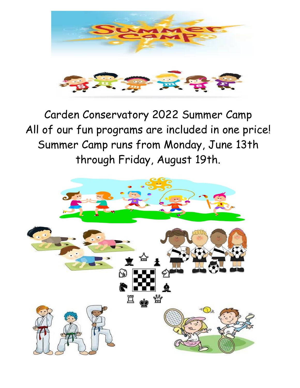

Carden Conservatory 2022 Summer Camp All of our fun programs are included in one price! Summer Camp runs from Monday, June 13th through Friday, August 19th.

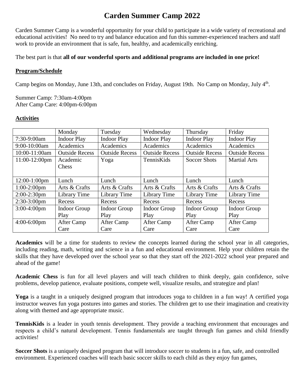# **Carden Summer Camp 2022**

Carden Summer Camp is a wonderful opportunity for your child to participate in a wide variety of recreational and educational activities! No need to try and balance education and fun this summer-experienced teachers and staff work to provide an environment that is safe, fun, healthy, and academically enriching.

The best part is that **all of our wonderful sports and additional programs are included in one price!**

#### **Program/Schedule**

Camp begins on Monday, June 13th, and concludes on Friday, August 19th. No Camp on Monday, July 4<sup>th</sup>.

Summer Camp: 7:30am-4:00pm After Camp Care: 4:00pm-6:00pm

### **Activities**

|                  | Monday                | Tuesday               | Wednesday             | Thursday              | Friday                |
|------------------|-----------------------|-----------------------|-----------------------|-----------------------|-----------------------|
| 7:30-9:00am      | <b>Indoor Play</b>    | <b>Indoor Play</b>    | <b>Indoor Play</b>    | <b>Indoor Play</b>    | <b>Indoor Play</b>    |
| 9:00-10:00am     | Academics             | Academics             | Academics             | Academics             | Academics             |
| 10:00-11:00am    | <b>Outside Recess</b> | <b>Outside Recess</b> | <b>Outside Recess</b> | <b>Outside Recess</b> | <b>Outside Recess</b> |
| $11:00-12:00$ pm | Academic              | Yoga                  | TennisKids            | <b>Soccer Shots</b>   | <b>Martial Arts</b>   |
|                  | <b>Chess</b>          |                       |                       |                       |                       |
|                  |                       |                       |                       |                       |                       |
| $12:00-1:00$ pm  | Lunch                 | Lunch                 | Lunch                 | Lunch                 | Lunch                 |
| $1:00-2:00$ pm   | Arts & Crafts         | Arts & Crafts         | Arts & Crafts         | Arts & Crafts         | Arts & Crafts         |
| $2:00-2:30$ pm   | Library Time          | Library Time          | Library Time          | Library Time          | Library Time          |
| $2:30-3:00$ pm   | Recess                | Recess                | Recess                | Recess                | Recess                |
| $3:00-4:00$ pm   | <b>Indoor Group</b>   | Indoor Group          | <b>Indoor Group</b>   | Indoor Group          | <b>Indoor Group</b>   |
|                  | Play                  | Play                  | Play                  | Play                  | Play                  |
| $4:00-6:00$ pm   | After Camp            | After Camp            | After Camp            | After Camp            | After Camp            |
|                  | Care                  | Care                  | Care                  | Care                  | Care                  |

**Academics** will be a time for students to review the concepts learned during the school year in all categories, including reading, math, writing and science in a fun and educational environment. Help your children retain the skills that they have developed over the school year so that they start off the 2021-2022 school year prepared and ahead of the game!

**Academic Chess** is fun for all level players and will teach children to think deeply, gain confidence, solve problems, develop patience, evaluate positions, compete well, visualize results, and strategize and plan!

**Yoga** is a taught in a uniquely designed program that introduces yoga to children in a fun way! A certified yoga instructor weaves fun yoga postures into games and stories. The children get to use their imagination and creativity along with themed and age appropriate music.

**TennisKids** is a leader in youth tennis development. They provide a teaching environment that encourages and respects a child's natural development. Tennis fundamentals are taught through fun games and child friendly activities!

**Soccer Shots** is a uniquely designed program that will introduce soccer to students in a fun, safe, and controlled environment. Experienced coaches will teach basic soccer skills to each child as they enjoy fun games,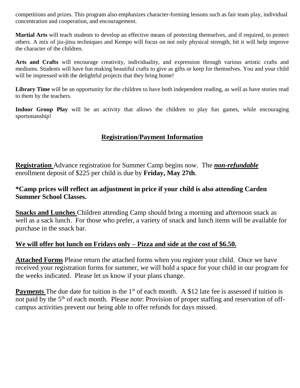competitions and prizes. This program also emphasizes character-forming lessons such as fair team play, individual concentration and cooperation, and encouragement.

**Martial Arts** will teach students to develop an effective means of protecting themselves, and if required, to protect others. A mix of jiu-jitsu techniques and Kempo will focus on not only physical strength, bit it will help improve the character of the children.

**Arts and Crafts** will encourage creativity, individuality, and expression through various artistic crafts and mediums. Students will have fun making beautiful crafts to give as gifts or keep for themselves. You and your child will be impressed with the delightful projects that they bring home!

Library Time will be an opportunity for the children to have both independent reading, as well as have stories read to them by the teachers.

Indoor Group Play will be an activity that allows the children to play fun games, while encouraging sportsmanship!

# **Registration/Payment Information**

**Registration** Advance registration for Summer Camp begins now. The *non-refundable* enrollment deposit of \$225 per child is due by **Friday, May 27th**.

# **\*Camp prices will reflect an adjustment in price if your child is also attending Carden Summer School Classes.**

**Snacks and Lunches** Children attending Camp should bring a morning and afternoon snack as well as a sack lunch. For those who prefer, a variety of snack and lunch items will be available for purchase in the snack bar.

### **We will offer hot lunch on Fridays only – Pizza and side at the cost of \$6.50.**

**Attached Forms** Please return the attached forms when you register your child. Once we have received your registration forms for summer, we will hold a space for your child in our program for the weeks indicated. Please let us know if your plans change.

**Payments** The due date for tuition is the 1<sup>st</sup> of each month. A \$12 late fee is assessed if tuition is not paid by the 5<sup>th</sup> of each month. Please note: Provision of proper staffing and reservation of offcampus activities prevent our being able to offer refunds for days missed.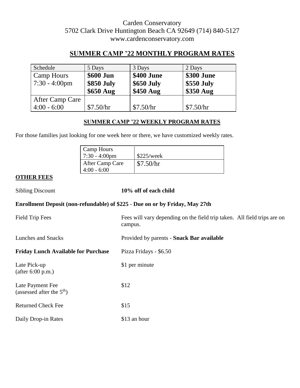# Carden Conservatory 5702 Clark Drive Huntington Beach CA 92649 (714) 840-5127 www.cardenconservatory.com

# **SUMMER CAMP '22 MONTHLY PROGRAM RATES**

| Schedule                | 5 Days     | 3 Days     | 2 Days     |
|-------------------------|------------|------------|------------|
| <b>Camp Hours</b>       | \$600 Jun  | \$400 June | \$300 June |
| $7:30 - 4:00 \text{pm}$ | \$850 July | \$650 July | \$550 July |
|                         | \$650 Aug  | \$450 Aug  | \$350 Aug  |
| After Camp Care         |            |            |            |
| $4:00 - 6:00$           | \$7.50/hr  | \$7.50/hr  | \$7.50/hr  |

### **SUMMER CAMP '22 WEEKLY PROGRAM RATES**

For those families just looking for one week here or there, we have customized weekly rates.

| Camp Hours<br>$7:30 - 4:00 \text{pm}$ | \$225/week |
|---------------------------------------|------------|
| After Camp Care<br>$4:00 - 6:00$      | \$7.50/hr  |

### **OTHER FEES**

#### 10% off of each child

### **Enrollment Deposit (non-refundable) of \$225** - **Due on or by Friday, May 27th**

| Field Trip Fees                                 | Fees will vary depending on the field trip taken. All field trips are on<br>campus. |
|-------------------------------------------------|-------------------------------------------------------------------------------------|
| <b>Lunches and Snacks</b>                       | Provided by parents - Snack Bar available                                           |
| <b>Friday Lunch Available for Purchase</b>      | Pizza Fridays - \$6.50                                                              |
| Late Pick-up<br>(after 6:00 p.m.)               | \$1 per minute                                                                      |
| Late Payment Fee<br>(assessed after the $5th$ ) | \$12                                                                                |
| <b>Returned Check Fee</b>                       | \$15                                                                                |
| Daily Drop-in Rates                             | \$13 an hour                                                                        |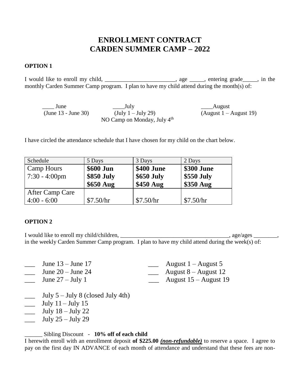# **ENROLLMENT CONTRACT CARDEN SUMMER CAMP – 2022**

### **OPTION 1**

I would like to enroll my child, \_\_\_\_\_\_\_\_\_\_\_\_\_\_\_\_\_\_\_\_\_\_\_\_, age \_\_\_\_\_, entering grade\_\_\_\_\_, in the monthly Carden Summer Camp program. I plan to have my child attend during the month(s) of:

| June                  | $\frac{1}{\sqrt{2}}$ July            | ____August               |
|-----------------------|--------------------------------------|--------------------------|
| $(June 13 - June 30)$ | $(\text{July } 1 - \text{July } 29)$ | $(August 1 - August 19)$ |
|                       | NO Camp on Monday, July $4th$        |                          |

I have circled the attendance schedule that I have chosen for my child on the chart below.

| Schedule                | 5 Days     | 3 Days     | 2 Days     |
|-------------------------|------------|------------|------------|
| <b>Camp Hours</b>       | \$600 Jun  | \$400 June | \$300 June |
| $7:30 - 4:00 \text{pm}$ | \$850 July | \$650 July | \$550 July |
|                         | $$650$ Aug | \$450 Aug  | \$350 Aug  |
| After Camp Care         |            |            |            |
| $4:00 - 6:00$           | \$7.50/hr  | \$7.50/hr  | \$7.50/hr  |

#### **OPTION 2**

I would like to enroll my child/children, \_\_\_\_\_\_\_\_\_\_\_\_\_\_\_\_\_\_\_\_\_\_\_\_\_\_\_\_\_\_\_\_\_\_, age/ages \_\_\_\_\_\_\_, in the weekly Carden Summer Camp program. I plan to have my child attend during the week(s) of:

| June $13 -$ June 17   | August $1 -$ August 5  |
|-----------------------|------------------------|
| June $20 -$ June $24$ | August $8 -$ August 12 |
|                       |                        |

- $\frac{1}{2}$  June 27 July 1  $\frac{1}{2}$  August 15 August 19
- $\frac{1}{\sqrt{2}}$  July 5 July 8 (closed July 4th)
- $\frac{\text{July }11 \text{July }15}{\text{$
- $\frac{\text{July } 18 \text{July } 22}{\text{$
- \_\_\_ July 25 July 29

\_\_\_\_\_\_ Sibling Discount - **10% off of each child** 

I herewith enroll with an enrollment deposit **of \$225.00** *(non-refundable)* to reserve a space. I agree to pay on the first day IN ADVANCE of each month of attendance and understand that these fees are non